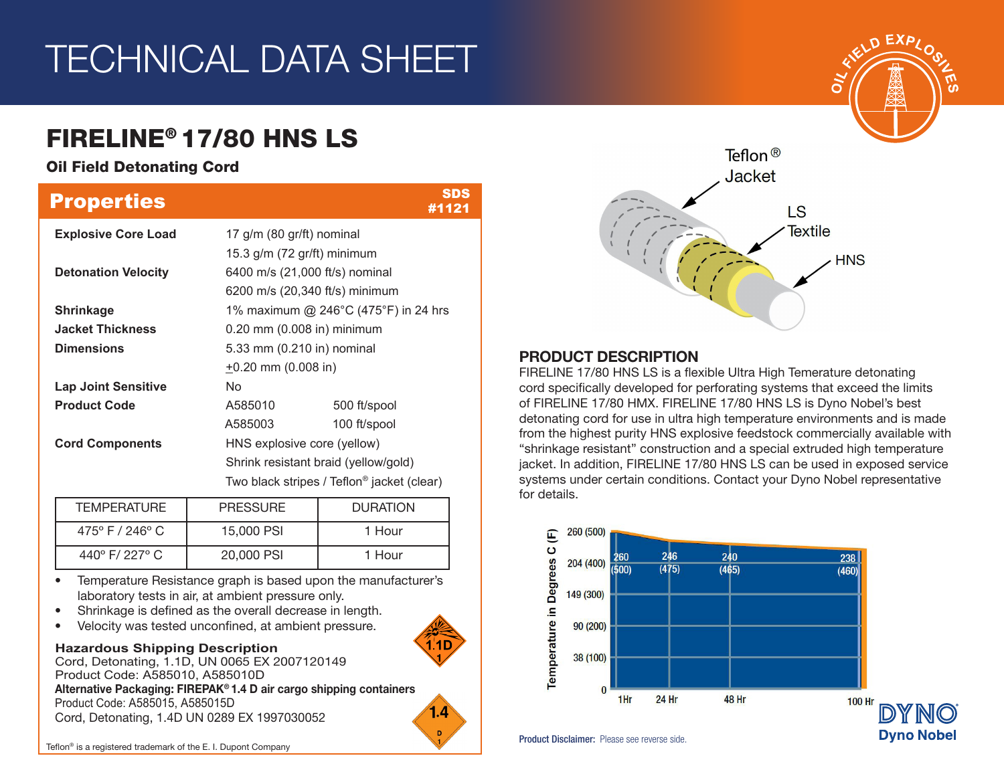# TECHNICAL DATA SHEET

## FIRELINE® 17/80 HNS LS

### Oil Field Detonating Cord

| <b>Properties</b>          |                                                        | <b>SDS</b><br>#1121            |  |  |  |  |
|----------------------------|--------------------------------------------------------|--------------------------------|--|--|--|--|
| <b>Explosive Core Load</b> | 17 $g/m$ (80 $gr/ft$ ) nominal                         |                                |  |  |  |  |
|                            | 15.3 $g/m$ (72 $gr/ft$ ) minimum                       |                                |  |  |  |  |
| <b>Detonation Velocity</b> | 6400 m/s (21,000 ft/s) nominal                         |                                |  |  |  |  |
|                            |                                                        | 6200 m/s (20,340 ft/s) minimum |  |  |  |  |
| <b>Shrinkage</b>           | 1% maximum @ 246°C (475°F) in 24 hrs                   |                                |  |  |  |  |
| <b>Jacket Thickness</b>    |                                                        | 0.20 mm (0.008 in) minimum     |  |  |  |  |
| <b>Dimensions</b>          | 5.33 mm (0.210 in) nominal                             |                                |  |  |  |  |
|                            | $+0.20$ mm (0.008 in)                                  |                                |  |  |  |  |
| <b>Lap Joint Sensitive</b> | No.                                                    |                                |  |  |  |  |
| <b>Product Code</b>        | A585010                                                | 500 ft/spool                   |  |  |  |  |
|                            | A585003                                                | 100 ft/spool                   |  |  |  |  |
| <b>Cord Components</b>     | HNS explosive core (yellow)                            |                                |  |  |  |  |
|                            | Shrink resistant braid (yellow/gold)                   |                                |  |  |  |  |
|                            | Two black stripes / Teflon <sup>®</sup> jacket (clear) |                                |  |  |  |  |

| <b>TEMPERATURE</b>                 | <b>PRESSURE</b> | <b>DURATION</b> |  |  |
|------------------------------------|-----------------|-----------------|--|--|
| $475^{\circ}$ F / 246 $^{\circ}$ C | 15,000 PSI      | 1 Hour          |  |  |
| 440°F/227°C                        | 20,000 PSI      | 1 Hour          |  |  |

• Temperature Resistance graph is based upon the manufacturer's laboratory tests in air, at ambient pressure only.

- Shrinkage is defined as the overall decrease in length.
- Velocity was tested unconfined, at ambient pressure.

#### **Hazardous Shipping Description**

Cord, Detonating, 1.1D, UN 0065 EX 2007120149 Product Code: A585010, A585010D Alternative Packaging: FIREPAK® 1.4 D air cargo shipping containers Product Code: A585015, A585015D Cord, Detonating, 1.4D UN 0289 EX 1997030052





#### PRODUCT DESCRIPTION

FIRELINE 17/80 HNS LS is a flexible Ultra High Temerature detonating cord specifically developed for perforating systems that exceed the limits of FIRELINE 17/80 HMX. FIRELINE 17/80 HNS LS is Dyno Nobel's best detonating cord for use in ultra high temperature environments and is made from the highest purity HNS explosive feedstock commercially available with "shrinkage resistant" construction and a special extruded high temperature jacket. In addition, FIRELINE 17/80 HNS LS can be used in exposed service systems under certain conditions. Contact your Dyno Nobel representative for details.



Product Disclaimer: Please see reverse side.



**Dyno Nobel**